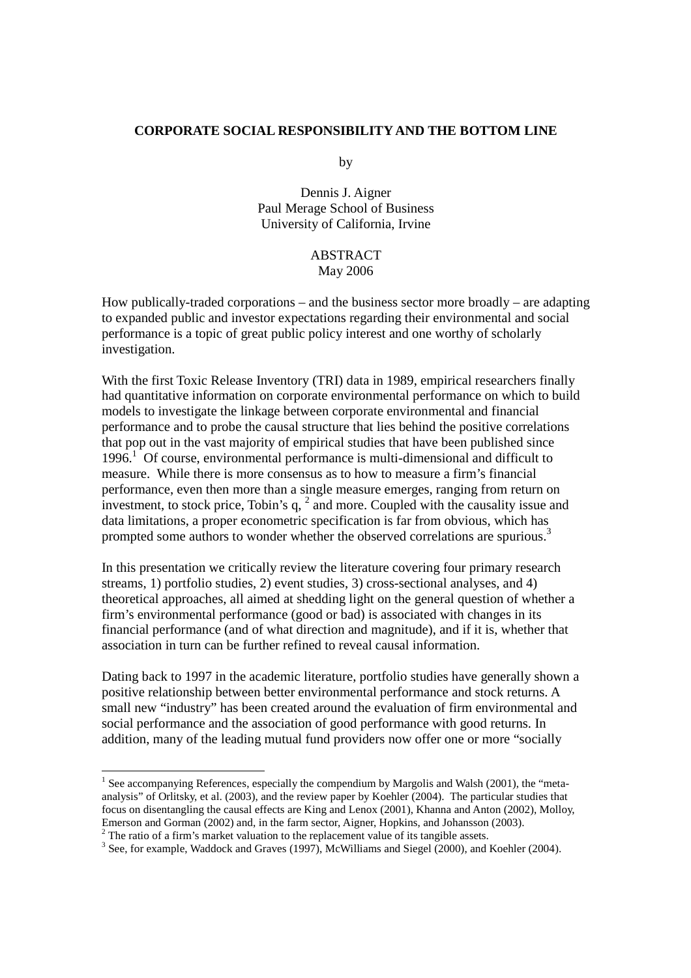## **CORPORATE SOCIAL RESPONSIBILITY AND THE BOTTOM LINE**

by

Dennis J. Aigner Paul Merage School of Business University of California, Irvine

## ABSTRACT May 2006

How publically-traded corporations – and the business sector more broadly – are adapting to expanded public and investor expectations regarding their environmental and social performance is a topic of great public policy interest and one worthy of scholarly investigation.

With the first Toxic Release Inventory *(TRI)* data in 1989, empirical researchers finally had quantitative information on corporate environmental performance on which to build models to investigate the linkage between corporate environmental and financial performance and to probe the causal structure that lies behind the positive correlations that pop out in the vast majority of empirical studies that have been published since 1996.<sup>1</sup> Of course, environmental performance is multi-dimensional and difficult to measure. While there is more consensus as to how to measure a firm's financial performance, even then more than a single measure emerges, ranging from return on investment, to stock price, Tobin's  $q$ ,  $^2$  and more. Coupled with the causality issue and data limitations, a proper econometric specification is far from obvious, which has prompted some authors to wonder whether the observed correlations are spurious.<sup>3</sup>

In this presentation we critically review the literature covering four primary research streams, 1) portfolio studies, 2) event studies, 3) cross-sectional analyses, and 4) theoretical approaches, all aimed at shedding light on the general question of whether a firm's environmental performance (good or bad) is associated with changes in its financial performance (and of what direction and magnitude), and if it is, whether that association in turn can be further refined to reveal causal information.

Dating back to 1997 in the academic literature, portfolio studies have generally shown a positive relationship between better environmental performance and stock returns. A small new "industry" has been created around the evaluation of firm environmental and social performance and the association of good performance with good returns. In addition, many of the leading mutual fund providers now offer one or more "socially

<sup>-</sup> $<sup>1</sup>$  See accompanying References, especially the compendium by Margolis and Walsh (2001), the "meta-</sup> analysis" of Orlitsky, et al. (2003), and the review paper by Koehler (2004). The particular studies that focus on disentangling the causal effects are King and Lenox (2001), Khanna and Anton (2002), Molloy, Emerson and Gorman (2002) and, in the farm sector, Aigner, Hopkins, and Johansson (2003).

 $2^2$  The ratio of a firm's market valuation to the replacement value of its tangible assets.

 $3$  See, for example, Waddock and Graves (1997), McWilliams and Siegel (2000), and Koehler (2004).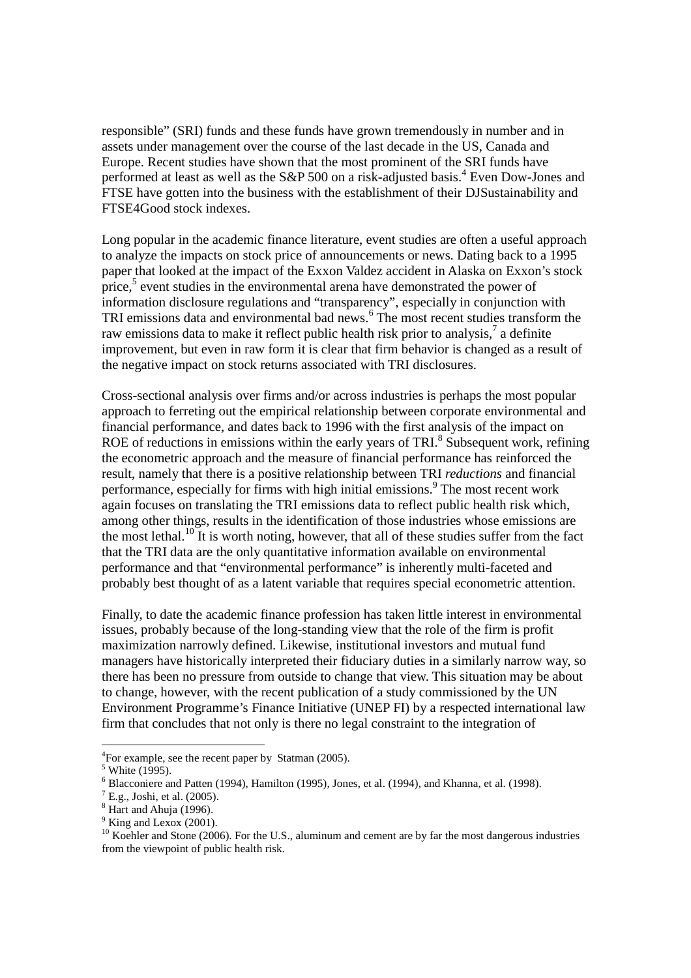responsible" (SRI) funds and these funds have grown tremendously in number and in assets under management over the course of the last decade in the US, Canada and Europe. Recent studies have shown that the most prominent of the SRI funds have performed at least as well as the S&P 500 on a risk-adjusted basis.<sup>4</sup> Even Dow-Jones and FTSE have gotten into the business with the establishment of their DJSustainability and FTSE4Good stock indexes.

Long popular in the academic finance literature, event studies are often a useful approach to analyze the impacts on stock price of announcements or news. Dating back to a 1995 paper that looked at the impact of the Exxon Valdez accident in Alaska on Exxon's stock price, $5$  event studies in the environmental arena have demonstrated the power of information disclosure regulations and "transparency", especially in conjunction with TRI emissions data and environmental bad news.<sup>6</sup> The most recent studies transform the raw emissions data to make it reflect public health risk prior to analysis,<sup>7</sup> a definite improvement, but even in raw form it is clear that firm behavior is changed as a result of the negative impact on stock returns associated with TRI disclosures.

Cross-sectional analysis over firms and/or across industries is perhaps the most popular approach to ferreting out the empirical relationship between corporate environmental and financial performance, and dates back to 1996 with the first analysis of the impact on ROE of reductions in emissions within the early years of TRI. $8$  Subsequent work, refining the econometric approach and the measure of financial performance has reinforced the result, namely that there is a positive relationship between TRI *reductions* and financial performance, especially for firms with high initial emissions.<sup>9</sup> The most recent work again focuses on translating the TRI emissions data to reflect public health risk which, among other things, results in the identification of those industries whose emissions are the most lethal.<sup>10</sup> It is worth noting, however, that all of these studies suffer from the fact that the TRI data are the only quantitative information available on environmental performance and that "environmental performance" is inherently multi-faceted and probably best thought of as a latent variable that requires special econometric attention.

Finally, to date the academic finance profession has taken little interest in environmental issues, probably because of the long-standing view that the role of the firm is profit maximization narrowly defined. Likewise, institutional investors and mutual fund managers have historically interpreted their fiduciary duties in a similarly narrow way, so there has been no pressure from outside to change that view. This situation may be about to change, however, with the recent publication of a study commissioned by the UN Environment Programme's Finance Initiative (UNEP FI) by a respected international law firm that concludes that not only is there no legal constraint to the integration of

-

<sup>&</sup>lt;sup>4</sup>For example, see the recent paper by Statman (2005).

 $<sup>5</sup>$  White (1995).</sup>

 $<sup>6</sup>$  Blacconiere and Patten (1994), Hamilton (1995), Jones, et al. (1994), and Khanna, et al. (1998).</sup>

 $^7$  E.g., Joshi, et al. (2005).

<sup>&</sup>lt;sup>8</sup> Hart and Ahuja (1996).

 $9$  King and Lexox (2001).

<sup>&</sup>lt;sup>10</sup> Koehler and Stone (2006). For the U.S., aluminum and cement are by far the most dangerous industries from the viewpoint of public health risk.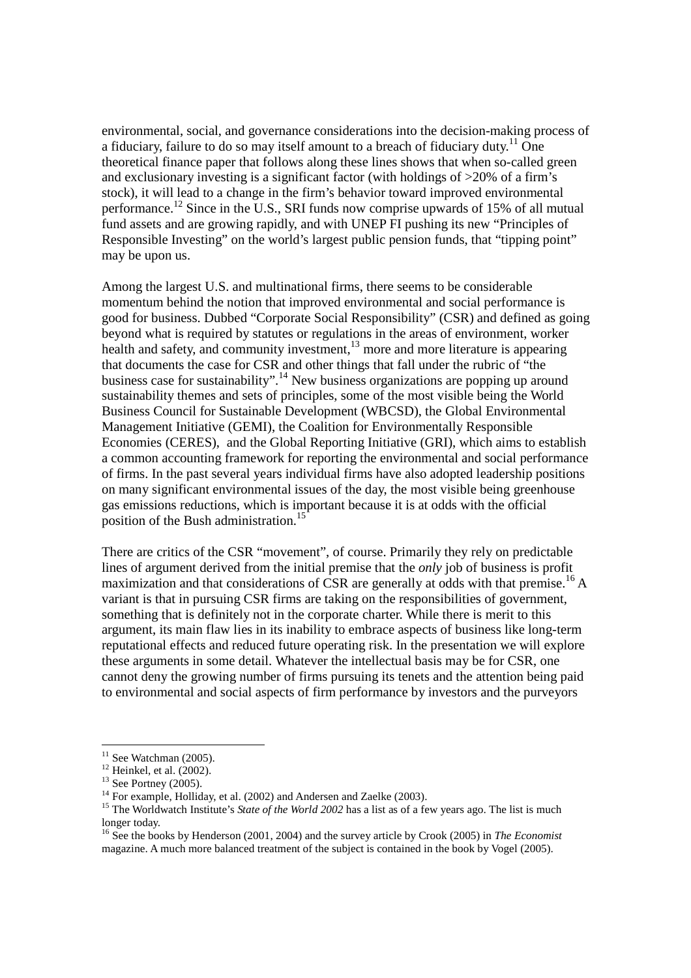environmental, social, and governance considerations into the decision-making process of a fiduciary, failure to do so may itself amount to a breach of fiduciary duty.<sup>11</sup> One theoretical finance paper that follows along these lines shows that when so-called green and exclusionary investing is a significant factor (with holdings of >20% of a firm's stock), it will lead to a change in the firm's behavior toward improved environmental performance.<sup>12</sup> Since in the U.S., SRI funds now comprise upwards of 15% of all mutual fund assets and are growing rapidly, and with UNEP FI pushing its new "Principles of Responsible Investing" on the world's largest public pension funds, that "tipping point" may be upon us.

Among the largest U.S. and multinational firms, there seems to be considerable momentum behind the notion that improved environmental and social performance is good for business. Dubbed "Corporate Social Responsibility" (CSR) and defined as going beyond what is required by statutes or regulations in the areas of environment, worker health and safety, and community investment,  $\frac{13}{13}$  more and more literature is appearing that documents the case for CSR and other things that fall under the rubric of "the business case for sustainability".<sup>14</sup> New business organizations are popping up around sustainability themes and sets of principles, some of the most visible being the World Business Council for Sustainable Development (WBCSD), the Global Environmental Management Initiative (GEMI), the Coalition for Environmentally Responsible Economies (CERES), and the Global Reporting Initiative (GRI), which aims to establish a common accounting framework for reporting the environmental and social performance of firms. In the past several years individual firms have also adopted leadership positions on many significant environmental issues of the day, the most visible being greenhouse gas emissions reductions, which is important because it is at odds with the official position of the Bush administration.<sup>15</sup>

There are critics of the CSR "movement", of course. Primarily they rely on predictable lines of argument derived from the initial premise that the *only* job of business is profit maximization and that considerations of CSR are generally at odds with that premise.<sup>16</sup> A variant is that in pursuing CSR firms are taking on the responsibilities of government, something that is definitely not in the corporate charter. While there is merit to this argument, its main flaw lies in its inability to embrace aspects of business like long-term reputational effects and reduced future operating risk. In the presentation we will explore these arguments in some detail. Whatever the intellectual basis may be for CSR, one cannot deny the growing number of firms pursuing its tenets and the attention being paid to environmental and social aspects of firm performance by investors and the purveyors

-

 $11$  See Watchman (2005).

 $12$  Heinkel, et al. (2002).

 $13$  See Portney (2005).

<sup>&</sup>lt;sup>14</sup> For example, Holliday, et al. (2002) and Andersen and Zaelke (2003).

<sup>&</sup>lt;sup>15</sup> The Worldwatch Institute's *State of the World 2002* has a list as of a few years ago. The list is much longer today.

<sup>16</sup> See the books by Henderson (2001, 2004) and the survey article by Crook (2005) in *The Economist* magazine. A much more balanced treatment of the subject is contained in the book by Vogel (2005).